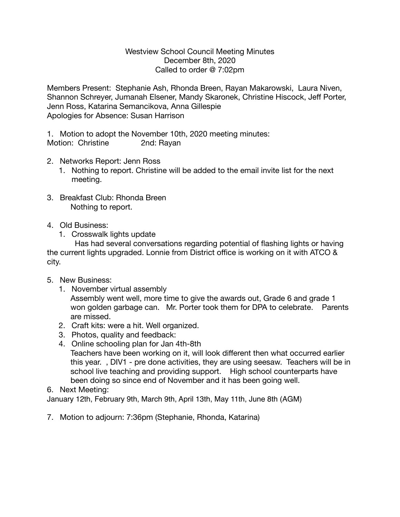## Westview School Council Meeting Minutes December 8th, 2020 Called to order @ 7:02pm

Members Present: Stephanie Ash, Rhonda Breen, Rayan Makarowski, Laura Niven, Shannon Schreyer, Jumanah Elsener, Mandy Skaronek, Christine Hiscock, Jeff Porter, Jenn Ross, Katarina Semancikova, Anna Gillespie Apologies for Absence: Susan Harrison

1. Motion to adopt the November 10th, 2020 meeting minutes: Motion: Christine 2nd: Rayan

- 2. Networks Report: Jenn Ross
	- 1. Nothing to report. Christine will be added to the email invite list for the next meeting.
- 3. Breakfast Club: Rhonda Breen Nothing to report.
- 4. Old Business:
	- 1. Crosswalk lights update

 Has had several conversations regarding potential of flashing lights or having the current lights upgraded. Lonnie from District office is working on it with ATCO & city.

- 5. New Business:
	- 1. November virtual assembly Assembly went well, more time to give the awards out, Grade 6 and grade 1 won golden garbage can. Mr. Porter took them for DPA to celebrate. Parents are missed.
	- 2. Craft kits: were a hit. Well organized.
	- 3. Photos, quality and feedback:
	- 4. Online schooling plan for Jan 4th-8th Teachers have been working on it, will look different then what occurred earlier this year. , DIV1 - pre done activities, they are using seesaw. Teachers will be in school live teaching and providing support. High school counterparts have been doing so since end of November and it has been going well.
- 6. Next Meeting:

January 12th, February 9th, March 9th, April 13th, May 11th, June 8th (AGM)

7. Motion to adjourn: 7:36pm (Stephanie, Rhonda, Katarina)